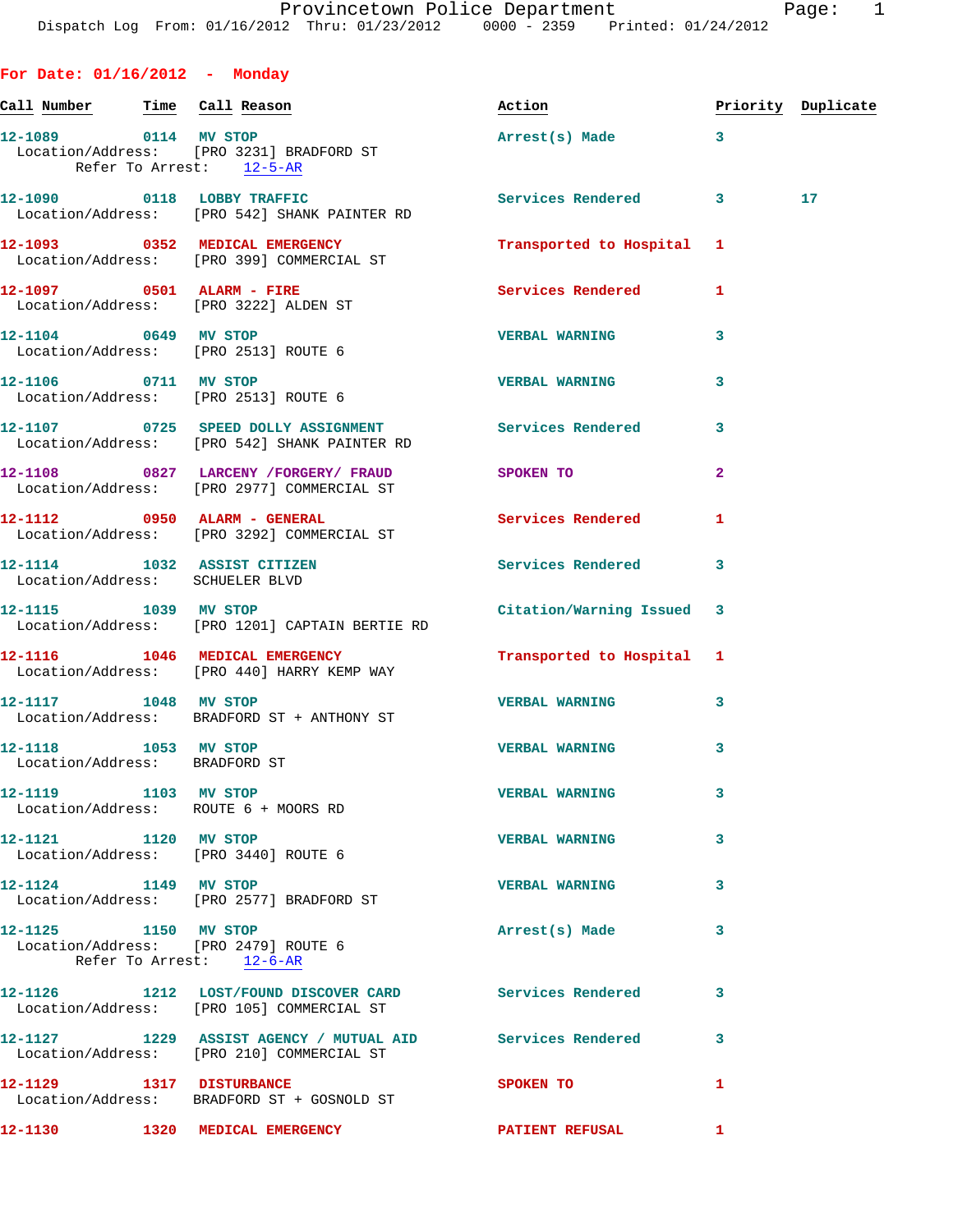## **For Date: 01/16/2012 - Monday**

| Call Number                                           | Time Call Reason                                                                                       | Action                    |              | Priority Duplicate |
|-------------------------------------------------------|--------------------------------------------------------------------------------------------------------|---------------------------|--------------|--------------------|
|                                                       | 12-1089 0114 MV STOP<br>Location/Address: [PRO 3231] BRADFORD ST<br>Refer To Arrest: 12-5-AR           | Arrest(s) Made 3          |              |                    |
|                                                       | 12-1090 0118 LOBBY TRAFFIC<br>Location/Address: [PRO 542] SHANK PAINTER RD                             | Services Rendered 3       |              | 17                 |
|                                                       | 12-1093 0352 MEDICAL EMERGENCY<br>Location/Address: [PRO 399] COMMERCIAL ST                            | Transported to Hospital 1 |              |                    |
|                                                       | 12-1097 0501 ALARM - FIRE<br>Location/Address: [PRO 3222] ALDEN ST                                     | <b>Services Rendered</b>  | 1            |                    |
|                                                       | 12-1104 0649 MV STOP<br>Location/Address: [PRO 2513] ROUTE 6                                           | <b>VERBAL WARNING</b>     | 3            |                    |
|                                                       | 12-1106 0711 MV STOP<br>Location/Address: [PRO 2513] ROUTE 6                                           | <b>VERBAL WARNING</b>     | 3            |                    |
|                                                       | 12-1107 0725 SPEED DOLLY ASSIGNMENT Services Rendered<br>Location/Address: [PRO 542] SHANK PAINTER RD  |                           | 3            |                    |
|                                                       | 12-1108 0827 LARCENY /FORGERY / FRAUD SPOKEN TO<br>Location/Address: [PRO 2977] COMMERCIAL ST          |                           | $\mathbf{2}$ |                    |
|                                                       | 12-1112 0950 ALARM - GENERAL<br>Location/Address: [PRO 3292] COMMERCIAL ST                             | Services Rendered         | 1            |                    |
| Location/Address: SCHUELER BLVD                       | 12-1114 1032 ASSIST CITIZEN                                                                            | Services Rendered         | 3            |                    |
|                                                       | 12-1115 1039 MV STOP<br>Location/Address: [PRO 1201] CAPTAIN BERTIE RD                                 | Citation/Warning Issued 3 |              |                    |
|                                                       | 12-1116 1046 MEDICAL EMERGENCY<br>Location/Address: [PRO 440] HARRY KEMP WAY                           | Transported to Hospital 1 |              |                    |
| 12-1117 1048 MV STOP                                  | Location/Address: BRADFORD ST + ANTHONY ST                                                             | <b>VERBAL WARNING</b>     | 3            |                    |
| 12-1118 1053 MV STOP<br>Location/Address: BRADFORD ST |                                                                                                        | <b>VERBAL WARNING</b>     | 3            |                    |
| 12-1119 1103 MV STOP                                  | Location/Address: ROUTE 6 + MOORS RD                                                                   | <b>VERBAL WARNING</b>     |              |                    |
| 12-1121 1120 MV STOP                                  | Location/Address: [PRO 3440] ROUTE 6                                                                   | <b>VERBAL WARNING</b>     | 3            |                    |
| 12-1124 1149 MV STOP                                  | Location/Address: [PRO 2577] BRADFORD ST                                                               | <b>VERBAL WARNING</b>     | 3            |                    |
| 12-1125 1150 MV STOP                                  | Location/Address: [PRO 2479] ROUTE 6<br>Refer To Arrest: 12-6-AR                                       | Arrest(s) Made            | 3            |                    |
|                                                       | 12-1126 1212 LOST/FOUND DISCOVER CARD Services Rendered<br>Location/Address: [PRO 105] COMMERCIAL ST   |                           | 3            |                    |
|                                                       | 12-1127 1229 ASSIST AGENCY / MUTUAL AID Services Rendered<br>Location/Address: [PRO 210] COMMERCIAL ST |                           | 3            |                    |
| 12-1129 1317 DISTURBANCE                              | Location/Address: BRADFORD ST + GOSNOLD ST                                                             | <b>SPOKEN TO</b>          | 1            |                    |
|                                                       | 12-1130 1320 MEDICAL EMERGENCY                                                                         | <b>PATIENT REFUSAL</b>    | $\mathbf{1}$ |                    |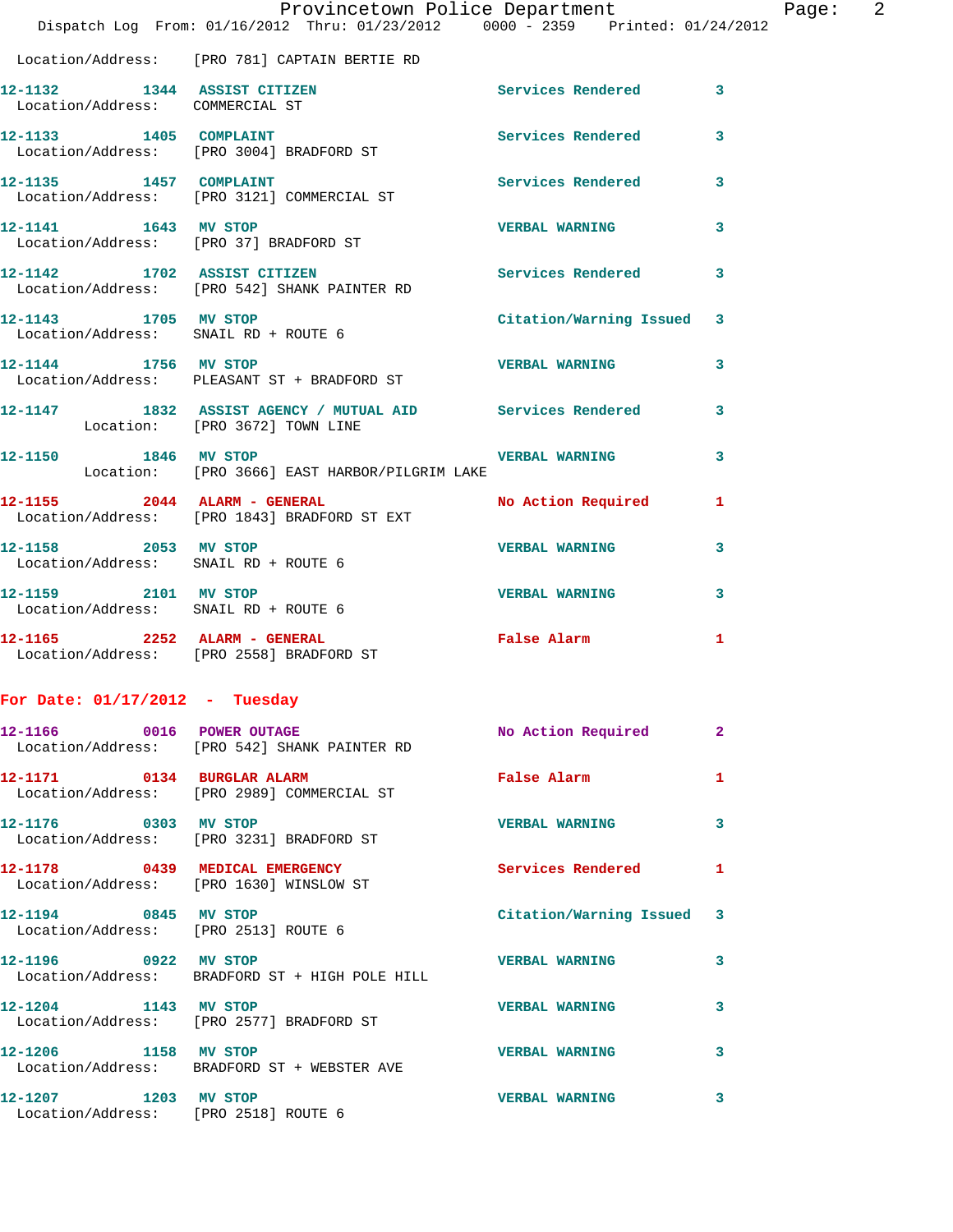|                                                              | Provincetown Police Department Page: 2<br>Dispatch Log From: 01/16/2012 Thru: 01/23/2012 0000 - 2359 Printed: 01/24/2012 |                           |   |
|--------------------------------------------------------------|--------------------------------------------------------------------------------------------------------------------------|---------------------------|---|
|                                                              | Location/Address: [PRO 781] CAPTAIN BERTIE RD                                                                            |                           |   |
| Location/Address: COMMERCIAL ST                              | 12-1132 1344 ASSIST CITIZEN                                                                                              | Services Rendered 3       |   |
|                                                              | 12-1133 1405 COMPLAINT<br>Location/Address: [PRO 3004] BRADFORD ST                                                       | Services Rendered         | 3 |
| 12-1135 1457 COMPLAINT                                       | Location/Address: [PRO 3121] COMMERCIAL ST                                                                               | Services Rendered 3       |   |
|                                                              | 12-1141 1643 MV STOP<br>Location/Address: [PRO 37] BRADFORD ST                                                           | <b>VERBAL WARNING</b>     | 3 |
|                                                              | 12-1142 1702 ASSIST CITIZEN 12-1142<br>Location/Address: [PRO 542] SHANK PAINTER RD                                      |                           |   |
|                                                              | 12-1143 1705 MV STOP<br>Location/Address: SNAIL RD + ROUTE 6                                                             | Citation/Warning Issued 3 |   |
| 12-1144 1756 MV STOP                                         | Location/Address: PLEASANT ST + BRADFORD ST                                                                              | <b>VERBAL WARNING</b>     | 3 |
| Location: [PRO 3672] TOWN LINE                               | 12-1147 1832 ASSIST AGENCY / MUTUAL AID Services Rendered 3                                                              |                           |   |
|                                                              | 12-1150 1846 MV STOP 12-1150<br>Location: [PRO 3666] EAST HARBOR/PILGRIM LAKE                                            |                           | 3 |
|                                                              | 12-1155 2044 ALARM - GENERAL<br>Location/Address: [PRO 1843] BRADFORD ST EXT                                             | No Action Required 1      |   |
| Location/Address: SNAIL RD + ROUTE 6                         | 12-1158 2053 MV STOP                                                                                                     | <b>VERBAL WARNING</b>     | 3 |
| 12-1159 2101 MV STOP                                         | Location/Address: SNAIL RD + ROUTE 6                                                                                     | <b>VERBAL WARNING</b>     | 3 |
|                                                              | 12-1165 2252 ALARM - GENERAL<br>Location/Address: [PRO 2558] BRADFORD ST                                                 | False Alarm               | 1 |
| For Date: $01/17/2012$ - Tuesday                             |                                                                                                                          |                           |   |
|                                                              | 12-1166 0016 POWER OUTAGE<br>Location/Address: [PRO 542] SHANK PAINTER RD                                                | No Action Required        | 2 |
|                                                              | 12-1171 0134 BURGLAR ALARM<br>Location/Address: [PRO 2989] COMMERCIAL ST                                                 | False Alarm               | 1 |
| 12-1176 0303 MV STOP                                         | Location/Address: [PRO 3231] BRADFORD ST                                                                                 | <b>VERBAL WARNING</b>     | 3 |
|                                                              | 12-1178 0439 MEDICAL EMERGENCY<br>Location/Address: [PRO 1630] WINSLOW ST                                                | Services Rendered 1       |   |
| 12-1194 0845 MV STOP<br>Location/Address: [PRO 2513] ROUTE 6 |                                                                                                                          | Citation/Warning Issued 3 |   |
| 12-1196 0922 MV STOP                                         | Location/Address: BRADFORD ST + HIGH POLE HILL                                                                           | <b>VERBAL WARNING</b>     | 3 |
| 12-1204 1143 MV STOP                                         | Location/Address: [PRO 2577] BRADFORD ST                                                                                 | <b>VERBAL WARNING</b>     | 3 |
| 12-1206 1158 MV STOP                                         | Location/Address: BRADFORD ST + WEBSTER AVE                                                                              | <b>VERBAL WARNING</b>     | 3 |
| 12-1207 1203 MV STOP<br>Location/Address: [PRO 2518] ROUTE 6 |                                                                                                                          | <b>VERBAL WARNING</b>     | 3 |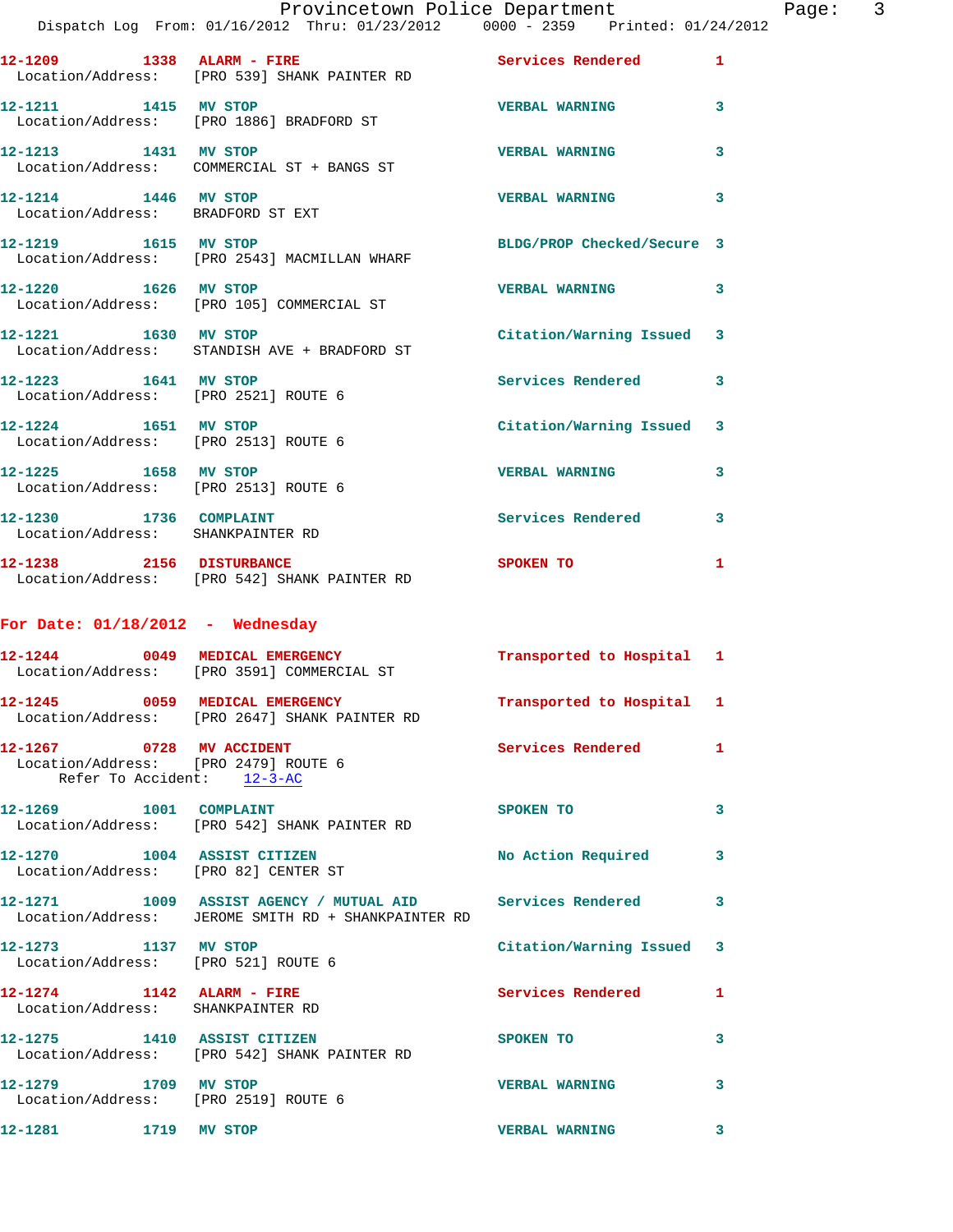|                                   |  | Provincetown Police Department |  |                                     |
|-----------------------------------|--|--------------------------------|--|-------------------------------------|
| From: 01/16/2012 Thru: 01/23/2012 |  |                                |  | $0000 - 2359$ Printed: $01/24/2012$ |

| Page |  |
|------|--|
|------|--|

|                        | Dispatch Log From: 01/16/2012 Thru: 01/23/2012 0000 - 2359 Printed: 01/24/2012                                   |                            |   |
|------------------------|------------------------------------------------------------------------------------------------------------------|----------------------------|---|
|                        | 12-1209 1338 ALARM - FIRE<br>Location/Address: [PRO 539] SHANK PAINTER RD                                        | Services Rendered          | 1 |
| 12-1211 1415 MV STOP   | Location/Address: [PRO 1886] BRADFORD ST                                                                         | <b>VERBAL WARNING</b>      | 3 |
| 12-1213 1431 MV STOP   | Location/Address: COMMERCIAL ST + BANGS ST                                                                       | <b>VERBAL WARNING</b>      | 3 |
| 12-1214 1446 MV STOP   | Location/Address: BRADFORD ST EXT                                                                                | <b>VERBAL WARNING</b>      | 3 |
| 12-1219   1615 MV STOP | Location/Address: [PRO 2543] MACMILLAN WHARF                                                                     | BLDG/PROP Checked/Secure 3 |   |
| 12-1220 1626 MV STOP   | Location/Address: [PRO 105] COMMERCIAL ST                                                                        | <b>VERBAL WARNING</b>      | 3 |
| 12-1221 1630 MV STOP   | Location/Address: STANDISH AVE + BRADFORD ST                                                                     | Citation/Warning Issued    | 3 |
|                        | 12-1223 1641 MV STOP<br>Location/Address: [PRO 2521] ROUTE 6                                                     | <b>Services Rendered</b>   | 3 |
| 12-1224 1651 MV STOP   | Location/Address: [PRO 2513] ROUTE 6                                                                             | Citation/Warning Issued    | 3 |
|                        | 12-1225 1658 MV STOP<br>Location/Address: [PRO 2513] ROUTE 6                                                     | <b>VERBAL WARNING</b>      | 3 |
| 12-1230 1736 COMPLAINT | Location/Address: SHANKPAINTER RD                                                                                | <b>Services Rendered</b>   | 3 |
|                        | 12-1238 2156 DISTURBANCE<br>Location/Address: [PRO 542] SHANK PAINTER RD                                         | SPOKEN TO                  | 1 |
|                        | For Date: $01/18/2012$ - Wednesday                                                                               |                            |   |
|                        | 12-1244 0049 MEDICAL EMERGENCY<br>Location/Address: [PRO 3591] COMMERCIAL ST                                     | Transported to Hospital 1  |   |
|                        | 12-1245 0059 MEDICAL EMERGENCY<br>Location/Address: [PRO 2647] SHANK PAINTER RD                                  | Transported to Hospital 1  |   |
|                        | 12-1267 0728 MV ACCIDENT<br>Location/Address: [PRO 2479] ROUTE 6<br>Refer To Accident: 12-3-AC                   | Services Rendered          | 1 |
| 12-1269 1001 COMPLAINT | Location/Address: [PRO 542] SHANK PAINTER RD                                                                     | SPOKEN TO                  | 3 |
|                        | 12-1270 1004 ASSIST CITIZEN<br>Location/Address: [PRO 82] CENTER ST                                              | No Action Required         | 3 |
|                        | 12-1271 1009 ASSIST AGENCY / MUTUAL AID Services Rendered<br>Location/Address: JEROME SMITH RD + SHANKPAINTER RD |                            | 3 |
|                        | 12-1273 1137 MV STOP<br>Location/Address: [PRO 521] ROUTE 6                                                      | Citation/Warning Issued    | 3 |
|                        | $12-1274$ 1142 ALARM - FIRE<br>Location/Address: SHANKPAINTER RD                                                 | Services Rendered          | 1 |
|                        |                                                                                                                  | SPOKEN TO                  | 3 |
|                        | 12-1275 1410 ASSIST CITIZEN<br>Location/Address: [PRO 542] SHANK PAINTER RD                                      |                            |   |
| 12-1279 1709 MV STOP   | Location/Address: [PRO 2519] ROUTE 6                                                                             | <b>VERBAL WARNING</b>      | 3 |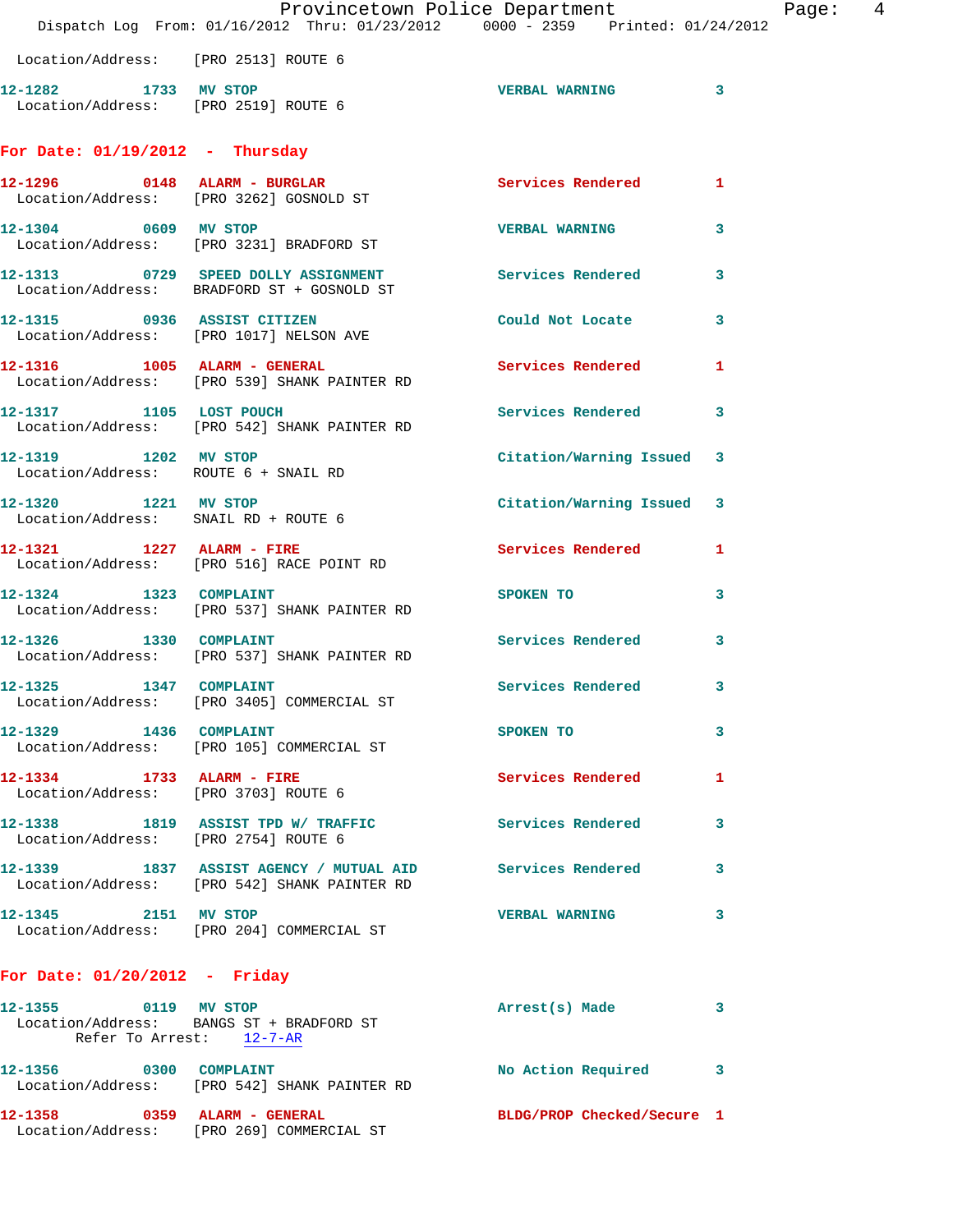|                                                                   | Provincetown Police Department<br>Dispatch Log From: 01/16/2012 Thru: 01/23/2012 0000 - 2359 Printed: 01/24/2012 |                           | Page: 4      |  |
|-------------------------------------------------------------------|------------------------------------------------------------------------------------------------------------------|---------------------------|--------------|--|
| Location/Address: [PRO 2513] ROUTE 6                              |                                                                                                                  |                           |              |  |
| Location/Address: [PRO 2519] ROUTE 6                              | 12-1282 1733 MV STOP                                                                                             | VERBAL WARNING 3          |              |  |
| For Date: $01/19/2012$ - Thursday                                 |                                                                                                                  |                           |              |  |
|                                                                   | 12-1296 0148 ALARM - BURGLAR<br>Location/Address: [PRO 3262] GOSNOLD ST                                          | <b>Services Rendered</b>  | $\mathbf{1}$ |  |
| 12-1304 0609 MV STOP                                              | Location/Address: [PRO 3231] BRADFORD ST                                                                         | <b>VERBAL WARNING</b>     | $\mathbf{3}$ |  |
|                                                                   | 12-1313 0729 SPEED DOLLY ASSIGNMENT Services Rendered<br>Location/Address: BRADFORD ST + GOSNOLD ST              |                           | 3            |  |
|                                                                   | 12-1315 0936 ASSIST CITIZEN<br>Location/Address: [PRO 1017] NELSON AVE                                           | Could Not Locate 3        |              |  |
|                                                                   | 12-1316 1005 ALARM - GENERAL<br>Location/Address: [PRO 539] SHANK PAINTER RD                                     | Services Rendered 1       |              |  |
|                                                                   | 12-1317 1105 LOST POUCH<br>Location/Address: [PRO 542] SHANK PAINTER RD                                          | Services Rendered         | 3            |  |
| 12-1319 1202 MV STOP<br>Location/Address: ROUTE 6 + SNAIL RD      |                                                                                                                  | Citation/Warning Issued 3 |              |  |
| Location/Address: SNAIL RD + ROUTE 6                              | 12-1320 1221 MV STOP                                                                                             | Citation/Warning Issued 3 |              |  |
|                                                                   | 12-1321 1227 ALARM - FIRE<br>Location/Address: [PRO 516] RACE POINT RD                                           | Services Rendered 1       |              |  |
| 12-1324 1323 COMPLAINT                                            | Location/Address: [PRO 537] SHANK PAINTER RD                                                                     | SPOKEN TO                 | 3            |  |
| 12-1326 1330 COMPLAINT                                            | Location/Address: [PRO 537] SHANK PAINTER RD                                                                     | Services Rendered 3       |              |  |
| 12-1325 1347                                                      | <b>COMPLAINT</b><br>Location/Address: [PRO 3405] COMMERCIAL ST                                                   | Services Rendered         | 3            |  |
| 12-1329 1436 COMPLAINT                                            | Location/Address: [PRO 105] COMMERCIAL ST                                                                        | SPOKEN TO                 | 3            |  |
| 12-1334 1733 ALARM - FIRE<br>Location/Address: [PRO 3703] ROUTE 6 |                                                                                                                  | Services Rendered         | $\mathbf{1}$ |  |
|                                                                   |                                                                                                                  | Services Rendered         | 3            |  |
|                                                                   | 12-1339 1837 ASSIST AGENCY / MUTUAL AID Services Rendered<br>Location/Address: [PRO 542] SHANK PAINTER RD        |                           | 3            |  |
| 12-1345 2151 MV STOP                                              | Location/Address: [PRO 204] COMMERCIAL ST                                                                        | <b>VERBAL WARNING</b>     | 3            |  |
| For Date: $01/20/2012$ - Friday                                   |                                                                                                                  |                           |              |  |
|                                                                   |                                                                                                                  |                           |              |  |
|                                                                   | 12-1355 0119 MV STOP<br>Location/Address: BANGS ST + BRADFORD ST<br>Refer To Arrest: 12-7-AR                     | Arrest(s) Made            | 3            |  |
|                                                                   | 12-1356 0300 COMPLAINT<br>Location/Address: [PRO 542] SHANK PAINTER RD                                           | No Action Required 3      |              |  |
|                                                                   |                                                                                                                  |                           |              |  |

**12-1358 0359 ALARM - GENERAL BLDG/PROP Checked/Secure 1**  Location/Address: [PRO 269] COMMERCIAL ST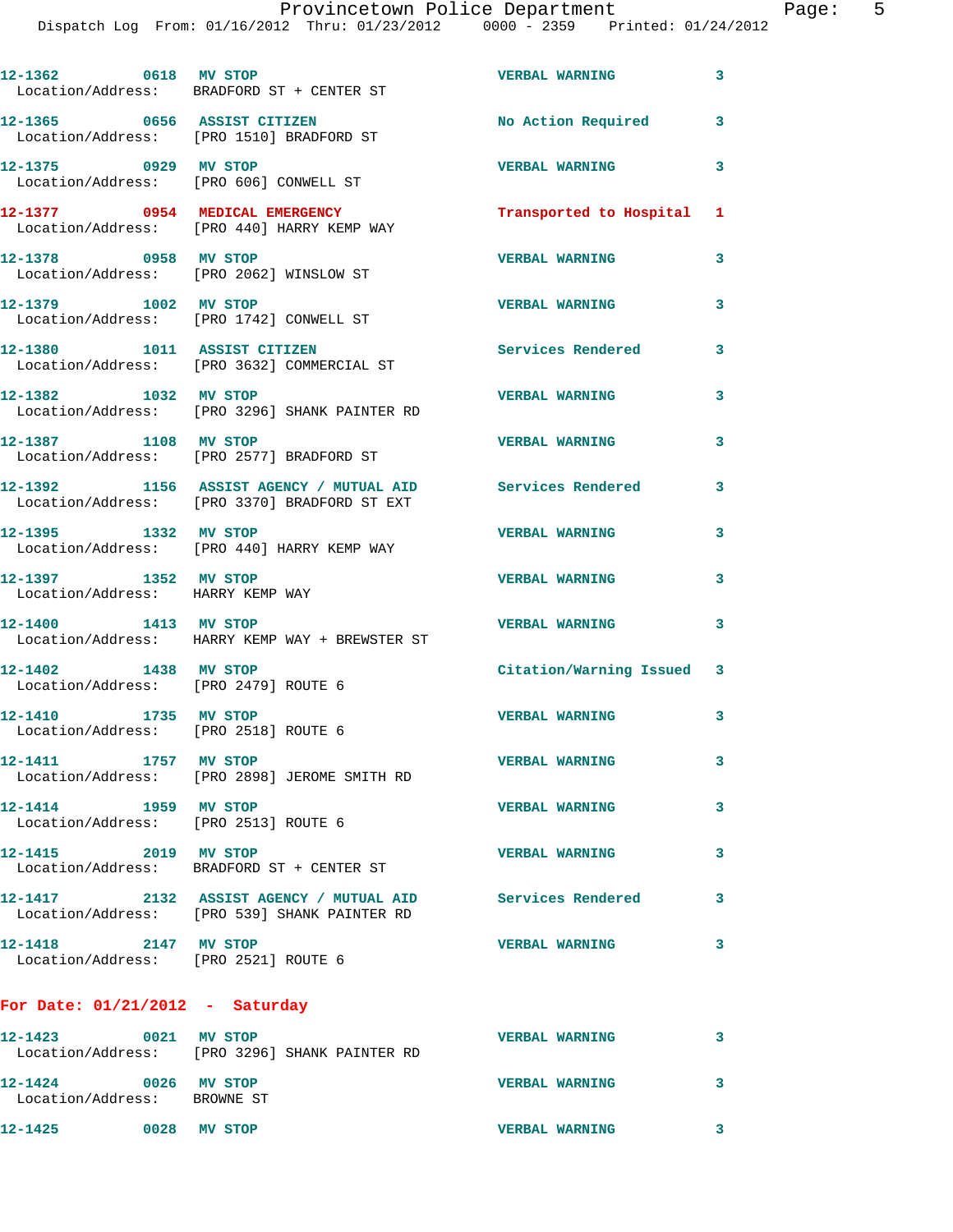Provincetown Police Department Fage: 5

Dispatch Log From: 01/16/2012 Thru: 01/23/2012 0000 - 2359 Printed: 01/24/2012

| 12-1362 0618 MV STOP                                         | Location/Address: BRADFORD ST + CENTER ST                                                                 | <b>VERBAL WARNING</b>     | $\overline{\mathbf{3}}$ |
|--------------------------------------------------------------|-----------------------------------------------------------------------------------------------------------|---------------------------|-------------------------|
|                                                              | 12-1365 0656 ASSIST CITIZEN<br>Location/Address: [PRO 1510] BRADFORD ST                                   | No Action Required        | 3                       |
| 12-1375 0929 MV STOP                                         | Location/Address: [PRO 606] CONWELL ST                                                                    | <b>VERBAL WARNING</b>     | 3                       |
|                                                              | 12-1377 0954 MEDICAL EMERGENCY<br>Location/Address: [PRO 440] HARRY KEMP WAY                              | Transported to Hospital 1 |                         |
| 12-1378 0958 MV STOP                                         | Location/Address: [PRO 2062] WINSLOW ST                                                                   | <b>VERBAL WARNING</b>     | 3                       |
| 12-1379 1002 MV STOP                                         | Location/Address: [PRO 1742] CONWELL ST                                                                   | <b>VERBAL WARNING</b>     | 3                       |
| 12-1380 1011 ASSIST CITIZEN                                  | Location/Address: [PRO 3632] COMMERCIAL ST                                                                | <b>Services Rendered</b>  | 3                       |
| 12-1382 1032 MV STOP                                         | Location/Address: [PRO 3296] SHANK PAINTER RD                                                             | <b>VERBAL WARNING</b>     | 3                       |
| 12-1387 1108 MV STOP                                         | Location/Address: [PRO 2577] BRADFORD ST                                                                  | <b>VERBAL WARNING</b>     | 3                       |
|                                                              | 12-1392 1156 ASSIST AGENCY / MUTUAL AID Services Rendered<br>Location/Address: [PRO 3370] BRADFORD ST EXT |                           | 3                       |
| 12-1395 1332 MV STOP                                         | Location/Address: [PRO 440] HARRY KEMP WAY                                                                | <b>VERBAL WARNING</b>     | 3                       |
| 12-1397 1352 MV STOP<br>Location/Address: HARRY KEMP WAY     |                                                                                                           | <b>VERBAL WARNING</b>     | 3                       |
|                                                              | 12-1400 1413 MV STOP<br>Location/Address: HARRY KEMP WAY + BREWSTER ST                                    | <b>VERBAL WARNING</b>     | 3                       |
| 12-1402 1438 MV STOP<br>Location/Address: [PRO 2479] ROUTE 6 |                                                                                                           | Citation/Warning Issued 3 |                         |
| 12-1410 1735 MV STOP<br>Location/Address: [PRO 2518] ROUTE 6 |                                                                                                           | <b>VERBAL WARNING</b>     | 3                       |
| 12-1411<br>1757 MV STOP                                      | Location/Address: [PRO 2898] JEROME SMITH RD                                                              | <b>VERBAL WARNING</b>     | 3                       |
| 12-1414 1959 MV STOP<br>Location/Address: [PRO 2513] ROUTE 6 |                                                                                                           | <b>VERBAL WARNING</b>     | 3                       |
| 12-1415 2019 MV STOP                                         | Location/Address: BRADFORD ST + CENTER ST                                                                 | <b>VERBAL WARNING</b>     | 3                       |
|                                                              | 12-1417 2132 ASSIST AGENCY / MUTUAL AID Services Rendered<br>Location/Address: [PRO 539] SHANK PAINTER RD |                           | 3                       |
| 12-1418 2147 MV STOP<br>Location/Address: [PRO 2521] ROUTE 6 |                                                                                                           | <b>VERBAL WARNING</b>     | 3                       |
| For Date: $01/21/2012$ - Saturday                            |                                                                                                           |                           |                         |
| 12-1423<br>0021 MV STOP                                      | Logation (Address: [DRO 2006] CUANIZ DAINTER RD                                                           | <b>VERBAL WARNING</b>     | 3                       |

 Location/Address: [PRO 3296] SHANK PAINTER RD **12-1424 0026 MV STOP VERBAL WARNING 3**  Location/Address: BROWNE ST **12-1425 0028 MV STOP VERBAL WARNING 3**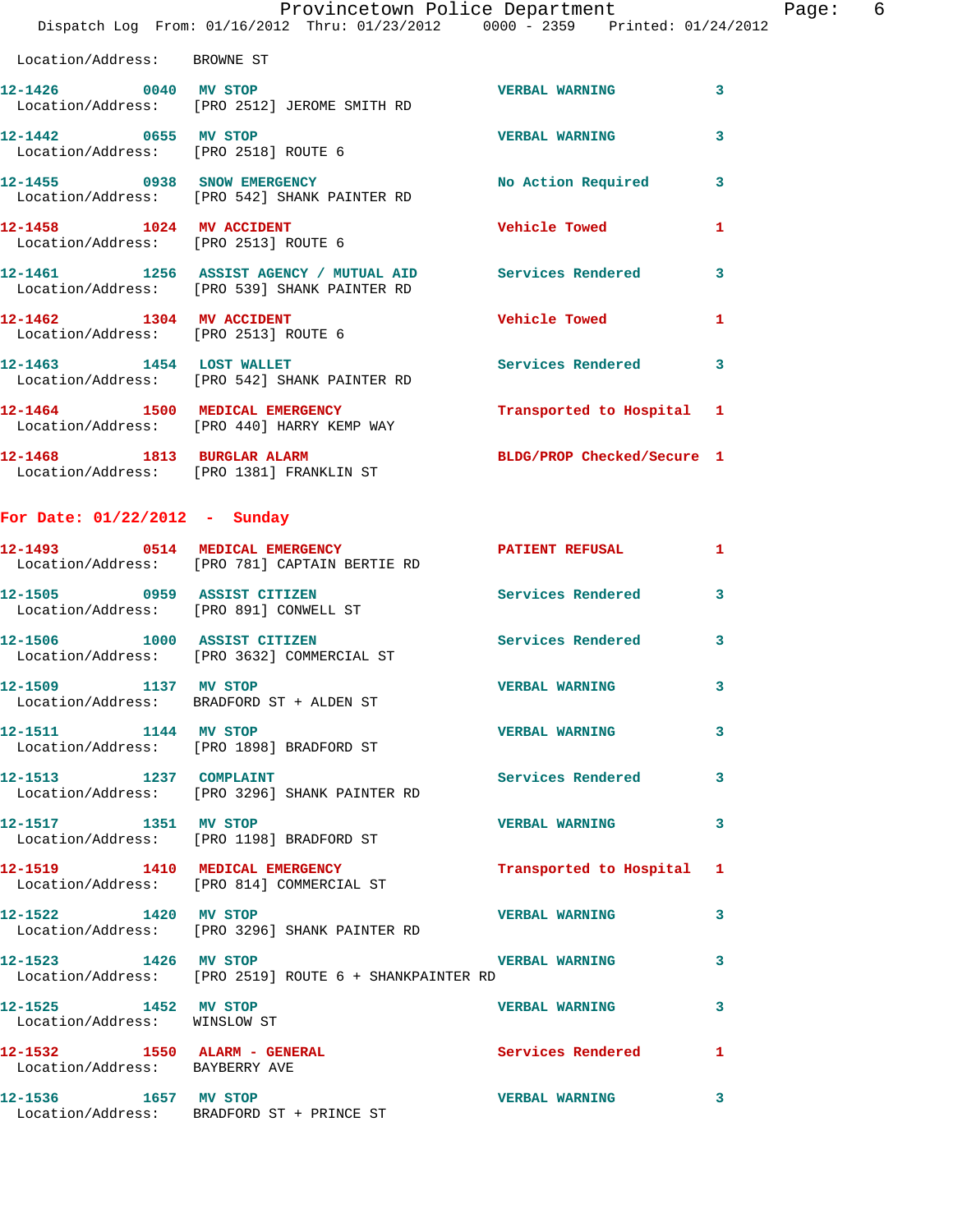|                                                                                |  |  | Provincetown Police Department |  | Paqe: | - 6 |
|--------------------------------------------------------------------------------|--|--|--------------------------------|--|-------|-----|
| Dispatch Log From: 01/16/2012 Thru: 01/23/2012 0000 - 2359 Printed: 01/24/2012 |  |  |                                |  |       |     |

 Location/Address: BROWNE ST **12-1426 0040 MV STOP VERBAL WARNING 3**  Location/Address: [PRO 2512] JEROME SMITH RD **12-1442 0655 MV STOP VERBAL WARNING 3**  Location/Address: [PRO 2518] ROUTE 6 **12-1455 0938 SNOW EMERGENCY No Action Required 3**  Location/Address: [PRO 542] SHANK PAINTER RD **12-1458 1024 MV ACCIDENT Vehicle Towed 1**  Location/Address: [PRO 2513] ROUTE 6 **12-1461 1256 ASSIST AGENCY / MUTUAL AID Services Rendered 3**  Location/Address: [PRO 539] SHANK PAINTER RD **12-1462 1304 MV ACCIDENT Vehicle Towed 1**  Location/Address: [PRO 2513] ROUTE 6 **12-1463 1454 LOST WALLET Services Rendered 3**  Location/Address: [PRO 542] SHANK PAINTER RD **12-1464 1500 MEDICAL EMERGENCY Transported to Hospital 1**  Location/Address: [PRO 440] HARRY KEMP WAY **12-1468 1813 BURGLAR ALARM BLDG/PROP Checked/Secure 1**  Location/Address: [PRO 1381] FRANKLIN ST

**For Date: 01/22/2012 - Sunday**

|                                                      | 12-1493 0514 MEDICAL EMERGENCY<br>Location/Address: [PRO 781] CAPTAIN BERTIE RD | <b>PATIENT REFUSAL</b>    | $\mathbf{1}$            |
|------------------------------------------------------|---------------------------------------------------------------------------------|---------------------------|-------------------------|
| Location/Address: [PRO 891] CONWELL ST               | 12-1505 0959 ASSIST CITIZEN                                                     | <b>Services Rendered</b>  | 3                       |
|                                                      | 12-1506 1000 ASSIST CITIZEN<br>Location/Address: [PRO 3632] COMMERCIAL ST       | <b>Services Rendered</b>  | $\overline{\mathbf{3}}$ |
| 12-1509 1137 MV STOP                                 | Location/Address: BRADFORD ST + ALDEN ST                                        | <b>VERBAL WARNING</b>     | $\mathbf{3}$            |
| 12-1511 1144 MV STOP                                 | Location/Address: [PRO 1898] BRADFORD ST                                        | <b>VERBAL WARNING</b>     | $\mathbf{3}$            |
| 12-1513 1237 COMPLAINT                               | Location/Address: [PRO 3296] SHANK PAINTER RD                                   | <b>Services Rendered</b>  | 3                       |
| 12-1517 1351 MV STOP                                 | Location/Address: [PRO 1198] BRADFORD ST                                        | <b>VERBAL WARNING</b>     | $\mathbf{3}$            |
|                                                      | 12-1519 1410 MEDICAL EMERGENCY<br>Location/Address: [PRO 814] COMMERCIAL ST     | Transported to Hospital 1 |                         |
| 12-1522 1420 MV STOP                                 | Location/Address: [PRO 3296] SHANK PAINTER RD                                   | <b>VERBAL WARNING</b>     | $\mathbf{3}$            |
| 12-1523 1426 MV STOP                                 | Location/Address: [PRO 2519] ROUTE 6 + SHANKPAINTER RD                          | <b>VERBAL WARNING</b>     | 3                       |
| 12-1525 1452 MV STOP<br>Location/Address: WINSLOW ST |                                                                                 | <b>VERBAL WARNING</b>     | 3                       |
| Location/Address: BAYBERRY AVE                       |                                                                                 | <b>Services Rendered</b>  | $\mathbf{1}$            |
|                                                      | 12-1536 1657 MV STOP<br>Location/Address: BRADFORD ST + PRINCE ST               | <b>VERBAL WARNING</b>     | 3                       |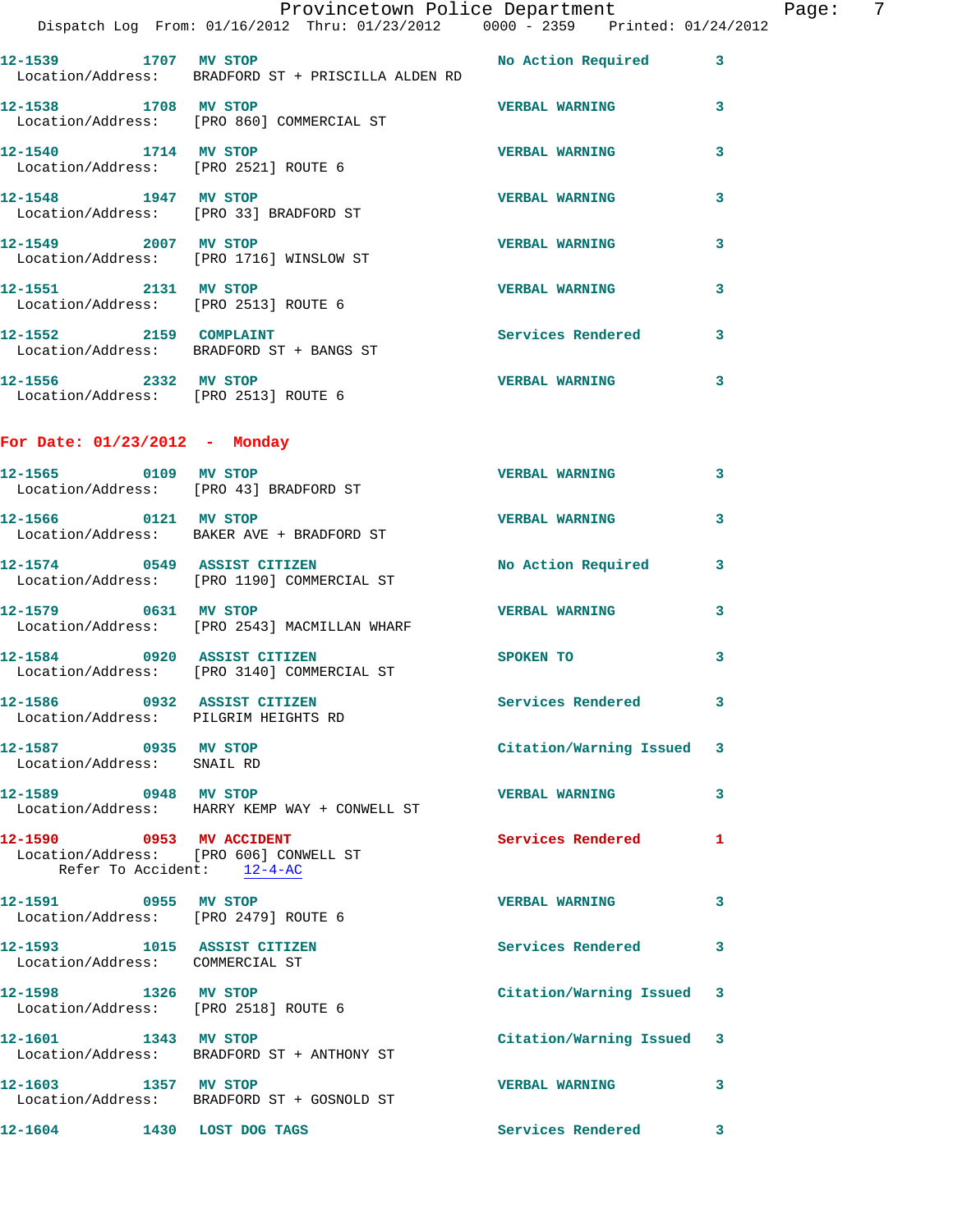|                                                                | Dispatch Log From: 01/16/2012 Thru: 01/23/2012 0000 - 2359 Printed: 01/24/2012                           | Provincetown Police Department |              | Page: | - 7 |
|----------------------------------------------------------------|----------------------------------------------------------------------------------------------------------|--------------------------------|--------------|-------|-----|
|                                                                | 12-1539 1707 MV STOP 120 2008 No Action Required 3<br>Location/Address: BRADFORD ST + PRISCILLA ALDEN RD |                                |              |       |     |
| 12-1538 1708 MV STOP                                           | Location/Address: [PRO 860] COMMERCIAL ST                                                                | <b>VERBAL WARNING</b> 3        |              |       |     |
|                                                                | 12-1540 1714 MV STOP<br>Location/Address: [PRO 2521] ROUTE 6                                             | <b>VERBAL WARNING</b>          | 3            |       |     |
|                                                                | 12-1548 1947 MV STOP<br>Location/Address: [PRO 33] BRADFORD ST                                           | <b>VERBAL WARNING</b>          | 3            |       |     |
|                                                                | 12-1549 2007 MV STOP<br>Location/Address: [PRO 1716] WINSLOW ST                                          | <b>VERBAL WARNING</b>          | 3            |       |     |
|                                                                | 12-1551 2131 MV STOP<br>Location/Address: [PRO 2513] ROUTE 6                                             | <b>VERBAL WARNING</b>          | 3            |       |     |
|                                                                | 12-1552 2159 COMPLAINT<br>Location/Address: BRADFORD ST + BANGS ST                                       | Services Rendered 3            |              |       |     |
| Location/Address: [PRO 2513] ROUTE 6                           | 12-1556 2332 MV STOP                                                                                     | <b>VERBAL WARNING</b>          | $\mathbf{3}$ |       |     |
| For Date: 01/23/2012 - Monday                                  |                                                                                                          |                                |              |       |     |
|                                                                | 12-1565 0109 MV STOP<br>Location/Address: [PRO 43] BRADFORD ST                                           | <b>VERBAL WARNING</b>          | 3            |       |     |
| 12-1566 0121 MV STOP                                           | Location/Address: BAKER AVE + BRADFORD ST                                                                | <b>VERBAL WARNING</b>          | $\mathbf{3}$ |       |     |
|                                                                | 12-1574 0549 ASSIST CITIZEN<br>Location/Address: [PRO 1190] COMMERCIAL ST                                | No Action Required 3           |              |       |     |
| 12-1579 0631 MV STOP                                           | Location/Address: [PRO 2543] MACMILLAN WHARF                                                             | <b>VERBAL WARNING</b>          | 3            |       |     |
|                                                                | 12-1584 0920 ASSIST CITIZEN<br>Location/Address: [PRO 3140] COMMERCIAL ST                                | SPOKEN TO                      | 3            |       |     |
| 12-1586<br>Location/Address: PILGRIM HEIGHTS RD                | 0932 ASSIST CITIZEN                                                                                      | Services Rendered 3            |              |       |     |
| 12-1587 0935 MV STOP<br>Location/Address: SNAIL RD             |                                                                                                          | Citation/Warning Issued 3      |              |       |     |
| 12-1589 0948 MV STOP                                           | Location/Address: HARRY KEMP WAY + CONWELL ST                                                            | <b>VERBAL WARNING</b>          | 3            |       |     |
| 12-1590 0953 MV ACCIDENT<br>Refer To Accident: 12-4-AC         | Location/Address: [PRO 606] CONWELL ST                                                                   | Services Rendered 1            |              |       |     |
| 12-1591 0955 MV STOP                                           | Location/Address: [PRO 2479] ROUTE 6                                                                     | VERBAL WARNING 3               |              |       |     |
| 12-1593 1015 ASSIST CITIZEN<br>Location/Address: COMMERCIAL ST |                                                                                                          | Services Rendered 3            |              |       |     |
| 12-1598 1326 MV STOP                                           | Location/Address: [PRO 2518] ROUTE 6                                                                     | Citation/Warning Issued 3      |              |       |     |
|                                                                | 12-1601 1343 MV STOP<br>Location/Address: BRADFORD ST + ANTHONY ST                                       | Citation/Warning Issued 3      |              |       |     |
| 12-1603 1357 MV STOP                                           | Location/Address: BRADFORD ST + GOSNOLD ST                                                               | VERBAL WARNING 3               |              |       |     |
| 12-1604 1430 LOST DOG TAGS                                     |                                                                                                          | Services Rendered 3            |              |       |     |